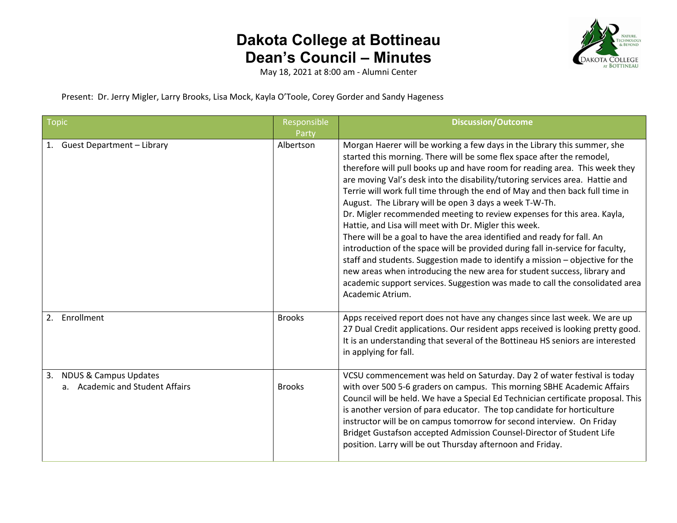

May 18, 2021 at 8:00 am - Alumni Center

Present: Dr. Jerry Migler, Larry Brooks, Lisa Mock, Kayla O'Toole, Corey Gorder and Sandy Hageness

| <b>Topic</b>                                                              | Responsible<br>Party | <b>Discussion/Outcome</b>                                                                                                                                                                                                                                                                                                                                                                                                                                                                                                                                                                                                                                                                                                                                                                                                                                                                                                                                                                                                     |
|---------------------------------------------------------------------------|----------------------|-------------------------------------------------------------------------------------------------------------------------------------------------------------------------------------------------------------------------------------------------------------------------------------------------------------------------------------------------------------------------------------------------------------------------------------------------------------------------------------------------------------------------------------------------------------------------------------------------------------------------------------------------------------------------------------------------------------------------------------------------------------------------------------------------------------------------------------------------------------------------------------------------------------------------------------------------------------------------------------------------------------------------------|
| 1. Guest Department - Library                                             | Albertson            | Morgan Haerer will be working a few days in the Library this summer, she<br>started this morning. There will be some flex space after the remodel,<br>therefore will pull books up and have room for reading area. This week they<br>are moving Val's desk into the disability/tutoring services area. Hattie and<br>Terrie will work full time through the end of May and then back full time in<br>August. The Library will be open 3 days a week T-W-Th.<br>Dr. Migler recommended meeting to review expenses for this area. Kayla,<br>Hattie, and Lisa will meet with Dr. Migler this week.<br>There will be a goal to have the area identified and ready for fall. An<br>introduction of the space will be provided during fall in-service for faculty,<br>staff and students. Suggestion made to identify a mission - objective for the<br>new areas when introducing the new area for student success, library and<br>academic support services. Suggestion was made to call the consolidated area<br>Academic Atrium. |
| Enrollment<br>2.                                                          | <b>Brooks</b>        | Apps received report does not have any changes since last week. We are up<br>27 Dual Credit applications. Our resident apps received is looking pretty good.<br>It is an understanding that several of the Bottineau HS seniors are interested<br>in applying for fall.                                                                                                                                                                                                                                                                                                                                                                                                                                                                                                                                                                                                                                                                                                                                                       |
| <b>NDUS &amp; Campus Updates</b><br>3.<br>a. Academic and Student Affairs | <b>Brooks</b>        | VCSU commencement was held on Saturday. Day 2 of water festival is today<br>with over 500 5-6 graders on campus. This morning SBHE Academic Affairs<br>Council will be held. We have a Special Ed Technician certificate proposal. This<br>is another version of para educator. The top candidate for horticulture<br>instructor will be on campus tomorrow for second interview. On Friday<br>Bridget Gustafson accepted Admission Counsel-Director of Student Life<br>position. Larry will be out Thursday afternoon and Friday.                                                                                                                                                                                                                                                                                                                                                                                                                                                                                            |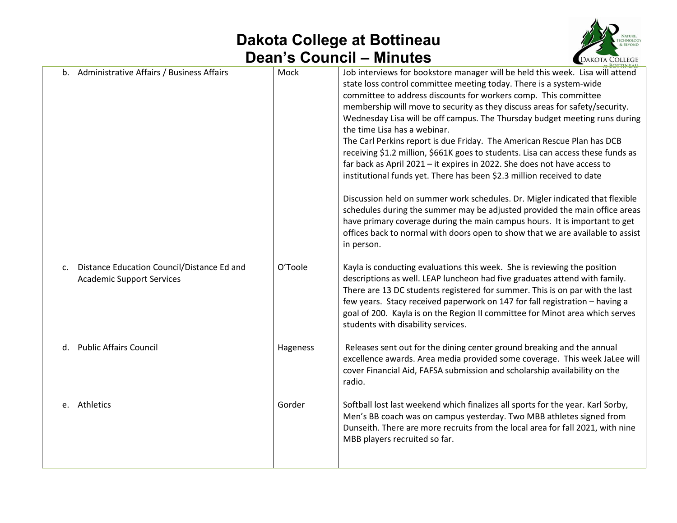

|                |                                                                                |          | <b>AT BOTTINEAU</b>                                                                                                                                                                                                                                                                                                                                                                                                                                                                                                                                                                                                                                                                                                                                                                                                                                                                                                                                                                                                                                                                  |
|----------------|--------------------------------------------------------------------------------|----------|--------------------------------------------------------------------------------------------------------------------------------------------------------------------------------------------------------------------------------------------------------------------------------------------------------------------------------------------------------------------------------------------------------------------------------------------------------------------------------------------------------------------------------------------------------------------------------------------------------------------------------------------------------------------------------------------------------------------------------------------------------------------------------------------------------------------------------------------------------------------------------------------------------------------------------------------------------------------------------------------------------------------------------------------------------------------------------------|
|                | b. Administrative Affairs / Business Affairs                                   | Mock     | Job interviews for bookstore manager will be held this week. Lisa will attend<br>state loss control committee meeting today. There is a system-wide<br>committee to address discounts for workers comp. This committee<br>membership will move to security as they discuss areas for safety/security.<br>Wednesday Lisa will be off campus. The Thursday budget meeting runs during<br>the time Lisa has a webinar.<br>The Carl Perkins report is due Friday. The American Rescue Plan has DCB<br>receiving \$1.2 million, \$661K goes to students. Lisa can access these funds as<br>far back as April 2021 - it expires in 2022. She does not have access to<br>institutional funds yet. There has been \$2.3 million received to date<br>Discussion held on summer work schedules. Dr. Migler indicated that flexible<br>schedules during the summer may be adjusted provided the main office areas<br>have primary coverage during the main campus hours. It is important to get<br>offices back to normal with doors open to show that we are available to assist<br>in person. |
| $\mathsf{C}$ . | Distance Education Council/Distance Ed and<br><b>Academic Support Services</b> | O'Toole  | Kayla is conducting evaluations this week. She is reviewing the position<br>descriptions as well. LEAP luncheon had five graduates attend with family.<br>There are 13 DC students registered for summer. This is on par with the last<br>few years. Stacy received paperwork on 147 for fall registration - having a<br>goal of 200. Kayla is on the Region II committee for Minot area which serves<br>students with disability services.                                                                                                                                                                                                                                                                                                                                                                                                                                                                                                                                                                                                                                          |
|                | d. Public Affairs Council                                                      | Hageness | Releases sent out for the dining center ground breaking and the annual<br>excellence awards. Area media provided some coverage. This week JaLee will<br>cover Financial Aid, FAFSA submission and scholarship availability on the<br>radio.                                                                                                                                                                                                                                                                                                                                                                                                                                                                                                                                                                                                                                                                                                                                                                                                                                          |
|                | e. Athletics                                                                   | Gorder   | Softball lost last weekend which finalizes all sports for the year. Karl Sorby,<br>Men's BB coach was on campus yesterday. Two MBB athletes signed from<br>Dunseith. There are more recruits from the local area for fall 2021, with nine<br>MBB players recruited so far.                                                                                                                                                                                                                                                                                                                                                                                                                                                                                                                                                                                                                                                                                                                                                                                                           |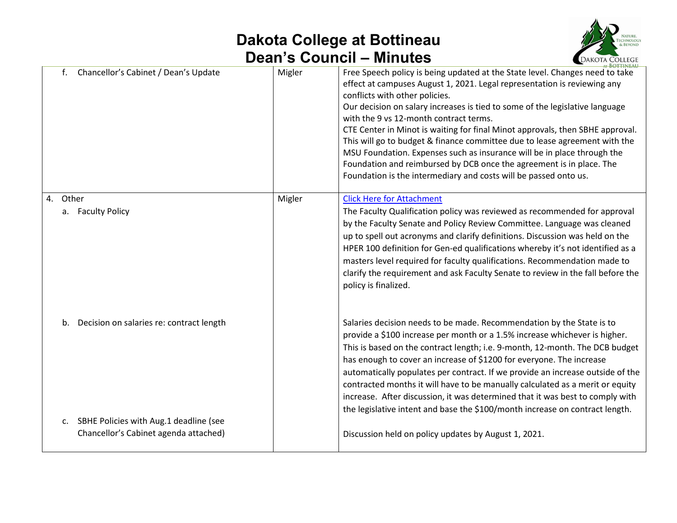

|                                                | — www.c |                                                                                                                                                                                                                                                                                                                                                                                                                                                                                                                                                                                                                                                                                                            | <b>EDANOIA COLLEGE</b> |
|------------------------------------------------|---------|------------------------------------------------------------------------------------------------------------------------------------------------------------------------------------------------------------------------------------------------------------------------------------------------------------------------------------------------------------------------------------------------------------------------------------------------------------------------------------------------------------------------------------------------------------------------------------------------------------------------------------------------------------------------------------------------------------|------------------------|
| Chancellor's Cabinet / Dean's Update<br>f.     | Migler  | Free Speech policy is being updated at the State level. Changes need to take<br>effect at campuses August 1, 2021. Legal representation is reviewing any<br>conflicts with other policies.<br>Our decision on salary increases is tied to some of the legislative language<br>with the 9 vs 12-month contract terms.<br>CTE Center in Minot is waiting for final Minot approvals, then SBHE approval.<br>This will go to budget & finance committee due to lease agreement with the<br>MSU Foundation. Expenses such as insurance will be in place through the<br>Foundation and reimbursed by DCB once the agreement is in place. The<br>Foundation is the intermediary and costs will be passed onto us. |                        |
| 4. Other                                       | Migler  | <b>Click Here for Attachment</b>                                                                                                                                                                                                                                                                                                                                                                                                                                                                                                                                                                                                                                                                           |                        |
| a. Faculty Policy                              |         | The Faculty Qualification policy was reviewed as recommended for approval<br>by the Faculty Senate and Policy Review Committee. Language was cleaned<br>up to spell out acronyms and clarify definitions. Discussion was held on the<br>HPER 100 definition for Gen-ed qualifications whereby it's not identified as a<br>masters level required for faculty qualifications. Recommendation made to<br>clarify the requirement and ask Faculty Senate to review in the fall before the<br>policy is finalized.                                                                                                                                                                                             |                        |
| Decision on salaries re: contract length<br>b. |         | Salaries decision needs to be made. Recommendation by the State is to<br>provide a \$100 increase per month or a 1.5% increase whichever is higher.<br>This is based on the contract length; i.e. 9-month, 12-month. The DCB budget<br>has enough to cover an increase of \$1200 for everyone. The increase<br>automatically populates per contract. If we provide an increase outside of the<br>contracted months it will have to be manually calculated as a merit or equity<br>increase. After discussion, it was determined that it was best to comply with<br>the legislative intent and base the \$100/month increase on contract length.                                                            |                        |
| SBHE Policies with Aug.1 deadline (see<br>c.   |         |                                                                                                                                                                                                                                                                                                                                                                                                                                                                                                                                                                                                                                                                                                            |                        |
| Chancellor's Cabinet agenda attached)          |         | Discussion held on policy updates by August 1, 2021.                                                                                                                                                                                                                                                                                                                                                                                                                                                                                                                                                                                                                                                       |                        |